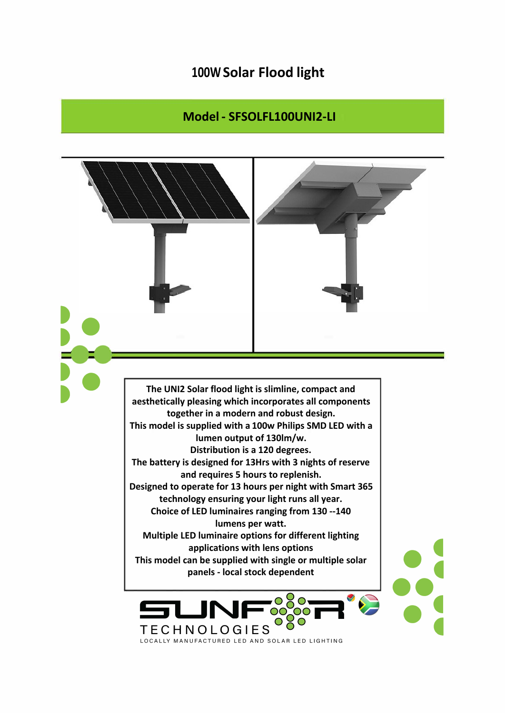## **100W Solar Flood light**

## **Model - SFSOLFL100UNI2-LI**

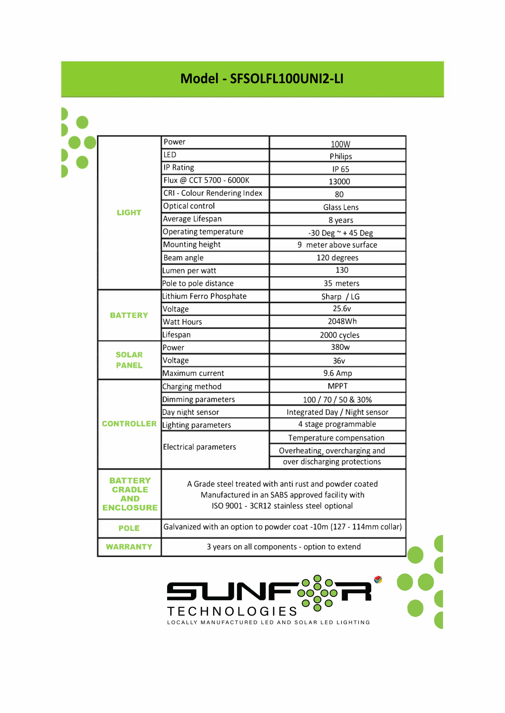## **Model - SFSOLFL100UNI2-LI**

| <b>LIGHT</b>                 | Power                                                                                                                                                 | 100W                          |
|------------------------------|-------------------------------------------------------------------------------------------------------------------------------------------------------|-------------------------------|
|                              | LED                                                                                                                                                   | Philips                       |
|                              | <b>IP Rating</b>                                                                                                                                      | IP 65                         |
|                              | Flux @ CCT 5700 - 6000K                                                                                                                               | 13000                         |
|                              | CRI - Colour Rendering Index                                                                                                                          | 80                            |
|                              | Optical control                                                                                                                                       | <b>Glass Lens</b>             |
|                              | Average Lifespan                                                                                                                                      | 8 years                       |
|                              | Operating temperature                                                                                                                                 | -30 Deg $\sim$ +45 Deg        |
|                              | Mounting height                                                                                                                                       | 9 meter above surface         |
|                              | Beam angle                                                                                                                                            | 120 degrees                   |
|                              | Lumen per watt                                                                                                                                        | 130                           |
|                              | Pole to pole distance                                                                                                                                 | 35 meters                     |
| <b>BATTERY</b>               | Lithium Ferro Phosphate                                                                                                                               | Sharp / LG                    |
|                              | Voltage                                                                                                                                               | 25.6v                         |
|                              | <b>Watt Hours</b>                                                                                                                                     | 2048Wh                        |
|                              | Lifespan                                                                                                                                              | 2000 cycles                   |
| <b>SOLAR</b><br><b>PANEL</b> | Power                                                                                                                                                 | 380w                          |
|                              | Voltage                                                                                                                                               | 36v                           |
|                              | Maximum current                                                                                                                                       | 9.6 Amp                       |
| <b>CONTROLLER</b>            | Charging method                                                                                                                                       | <b>MPPT</b>                   |
|                              | Dimming parameters                                                                                                                                    | 100 / 70 / 50 & 30%           |
|                              | Day night sensor                                                                                                                                      | Integrated Day / Night sensor |
|                              | Lighting parameters                                                                                                                                   | 4 stage programmable          |
|                              | Electrical parameters                                                                                                                                 | Temperature compensation      |
|                              |                                                                                                                                                       | Overheating, overcharging and |
|                              |                                                                                                                                                       | over discharging protections  |
| AND<br><b>ENCLOSURE</b>      | A Grade steel treated with anti rust and powder coated<br>Manufactured in an SABS approved facility with<br>ISO 9001 - 3CR12 stainless steel optional |                               |
| <b>POLE</b>                  | Galvanized with an option to powder coat -10m (127 - 114mm collar)                                                                                    |                               |
| <b>WARRANTY</b>              | 3 years on all components - option to extend                                                                                                          |                               |

••• •• **t** 

TECHNOLOGIES OCO - -

LJN

J